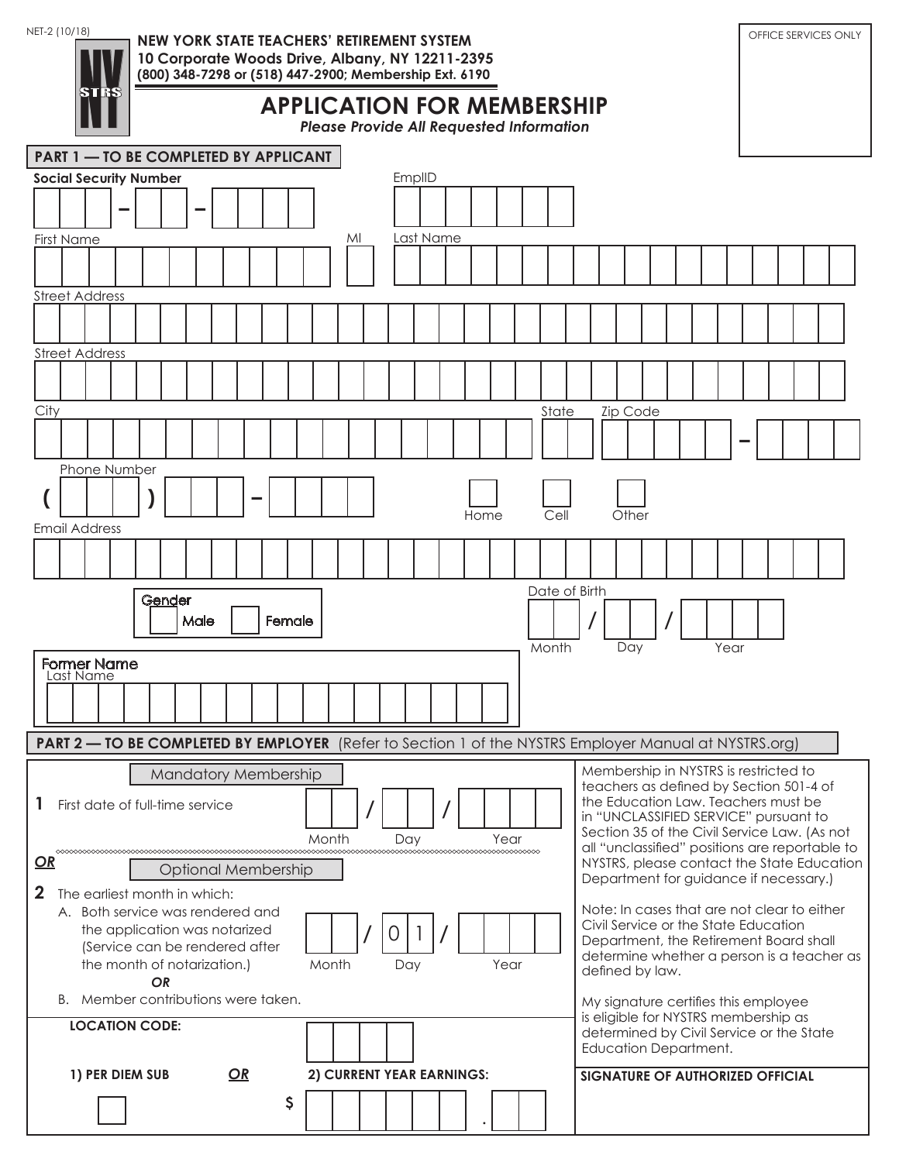STRS<br>N

NET-2 (10/18) **NEW YORK STATE TEACHERS' RETIREMENT SYSTEM Network of the State of Services only 10 Corporate Woods Drive, Albany, NY 12211-2395 (800) 348-7298 or (518) 447-2900; Membership Ext. 6190**

**APPLICATION FOR MEMBERSHIP**

*Please Provide All Requested Information*

|              | <b>PART 1 - TO BE COMPLETED BY APPLICANT</b> |                                                                 |  |           |        |      |  |    |  |                             |       |    |              |                           |           |      |                                                                              |  |               |  |                 |                              |  |      |                                                                                                              |                                                |
|--------------|----------------------------------------------|-----------------------------------------------------------------|--|-----------|--------|------|--|----|--|-----------------------------|-------|----|--------------|---------------------------|-----------|------|------------------------------------------------------------------------------|--|---------------|--|-----------------|------------------------------|--|------|--------------------------------------------------------------------------------------------------------------|------------------------------------------------|
|              |                                              | <b>Social Security Number</b>                                   |  |           |        |      |  |    |  |                             |       |    |              | EmplID                    |           |      |                                                                              |  |               |  |                 |                              |  |      |                                                                                                              |                                                |
|              |                                              |                                                                 |  |           |        |      |  |    |  |                             |       |    |              |                           |           |      |                                                                              |  |               |  |                 |                              |  |      |                                                                                                              |                                                |
|              | <b>First Name</b>                            |                                                                 |  |           |        |      |  |    |  |                             |       | MI |              |                           | Last Name |      |                                                                              |  |               |  |                 |                              |  |      |                                                                                                              |                                                |
|              |                                              |                                                                 |  |           |        |      |  |    |  |                             |       |    |              |                           |           |      |                                                                              |  |               |  |                 |                              |  |      |                                                                                                              |                                                |
|              |                                              | <b>Street Address</b>                                           |  |           |        |      |  |    |  |                             |       |    |              |                           |           |      |                                                                              |  |               |  |                 |                              |  |      |                                                                                                              |                                                |
|              |                                              |                                                                 |  |           |        |      |  |    |  |                             |       |    |              |                           |           |      |                                                                              |  |               |  |                 |                              |  |      |                                                                                                              |                                                |
|              |                                              | <b>Street Address</b>                                           |  |           |        |      |  |    |  |                             |       |    |              |                           |           |      |                                                                              |  |               |  |                 |                              |  |      |                                                                                                              |                                                |
|              |                                              |                                                                 |  |           |        |      |  |    |  |                             |       |    |              |                           |           |      |                                                                              |  |               |  |                 |                              |  |      |                                                                                                              |                                                |
| City         |                                              |                                                                 |  |           |        |      |  |    |  |                             |       |    |              |                           |           |      |                                                                              |  | State         |  | <b>Zip Code</b> |                              |  |      |                                                                                                              |                                                |
|              |                                              |                                                                 |  |           |        |      |  |    |  |                             |       |    |              |                           |           |      |                                                                              |  |               |  |                 |                              |  |      |                                                                                                              |                                                |
|              |                                              | Phone Number                                                    |  |           |        |      |  |    |  |                             |       |    |              |                           |           |      |                                                                              |  |               |  |                 |                              |  |      |                                                                                                              |                                                |
|              |                                              |                                                                 |  |           |        |      |  |    |  |                             |       |    |              |                           |           | Home |                                                                              |  | Cell          |  | Other           |                              |  |      |                                                                                                              |                                                |
|              |                                              | <b>Email Address</b>                                            |  |           |        |      |  |    |  |                             |       |    |              |                           |           |      |                                                                              |  |               |  |                 |                              |  |      |                                                                                                              |                                                |
|              |                                              |                                                                 |  |           |        |      |  |    |  |                             |       |    |              |                           |           |      |                                                                              |  |               |  |                 |                              |  |      |                                                                                                              |                                                |
|              |                                              |                                                                 |  |           | Gender |      |  |    |  |                             |       |    |              |                           |           |      |                                                                              |  | Date of Birth |  |                 |                              |  |      |                                                                                                              |                                                |
|              |                                              |                                                                 |  |           |        | Male |  |    |  | Female                      |       |    |              |                           |           |      |                                                                              |  |               |  |                 |                              |  |      |                                                                                                              |                                                |
|              |                                              | <b>Former Name</b>                                              |  |           |        |      |  |    |  |                             |       |    |              |                           |           |      |                                                                              |  | Month         |  | Day             |                              |  | Year |                                                                                                              |                                                |
|              |                                              | Last Name                                                       |  |           |        |      |  |    |  |                             |       |    |              |                           |           |      |                                                                              |  |               |  |                 |                              |  |      |                                                                                                              |                                                |
|              |                                              |                                                                 |  |           |        |      |  |    |  |                             |       |    |              |                           |           |      |                                                                              |  |               |  |                 |                              |  |      |                                                                                                              |                                                |
|              |                                              |                                                                 |  |           |        |      |  |    |  |                             |       |    |              |                           |           |      |                                                                              |  |               |  |                 |                              |  |      |                                                                                                              |                                                |
|              |                                              |                                                                 |  |           |        |      |  |    |  |                             |       |    |              |                           |           |      |                                                                              |  |               |  |                 |                              |  |      | <b>PART 2 — TO BE COMPLETED BY EMPLOYER</b> (Refer to Section 1 of the NYSTRS Employer Manual at NYSTRS.org) |                                                |
|              |                                              |                                                                 |  |           |        |      |  |    |  | <b>Mandatory Membership</b> |       |    |              |                           |           |      |                                                                              |  |               |  |                 |                              |  |      | Membership in NYSTRS is restricted to<br>teachers as defined by Section 501-4 of                             |                                                |
|              |                                              | 1 First date of full-time service                               |  |           |        |      |  |    |  |                             |       |    | $\mathbf{I}$ |                           |           |      |                                                                              |  |               |  |                 |                              |  |      | the Education Law. Teachers must be                                                                          |                                                |
|              |                                              |                                                                 |  |           |        |      |  |    |  |                             |       |    |              |                           |           |      |                                                                              |  |               |  |                 |                              |  |      | in "UNCLASSIFIED SERVICE" pursuant to<br>Section 35 of the Civil Service Law. (As not                        |                                                |
|              |                                              |                                                                 |  |           |        |      |  |    |  |                             | Month |    |              | Day                       |           |      | Year                                                                         |  |               |  |                 |                              |  |      |                                                                                                              | all "unclassified" positions are reportable to |
| $\mathbf{Q}$ |                                              |                                                                 |  |           |        |      |  |    |  | <b>Optional Membership</b>  |       |    |              |                           |           |      |                                                                              |  |               |  |                 |                              |  |      | Department for guidance if necessary.)                                                                       | NYSTRS, please contact the State Education     |
| $\mathbf{2}$ |                                              | The earliest month in which:                                    |  |           |        |      |  |    |  |                             |       |    |              |                           |           |      |                                                                              |  |               |  |                 |                              |  |      |                                                                                                              |                                                |
|              |                                              | A. Both service was rendered and                                |  |           |        |      |  |    |  |                             |       |    |              |                           |           |      |                                                                              |  |               |  |                 |                              |  |      | Note: In cases that are not clear to either<br>Civil Service or the State Education                          |                                                |
|              |                                              | the application was notarized<br>(Service can be rendered after |  |           |        |      |  |    |  |                             |       |    |              | O                         |           |      |                                                                              |  |               |  |                 |                              |  |      | Department, the Retirement Board shall                                                                       |                                                |
|              |                                              | the month of notarization.)                                     |  |           |        |      |  |    |  |                             | Month |    |              | Day                       |           |      | Year                                                                         |  |               |  |                 | defined by law.              |  |      |                                                                                                              | determine whether a person is a teacher as     |
|              |                                              |                                                                 |  | <b>OR</b> |        |      |  |    |  |                             |       |    |              |                           |           |      |                                                                              |  |               |  |                 |                              |  |      |                                                                                                              |                                                |
|              | B. Member contributions were taken.          |                                                                 |  |           |        |      |  |    |  |                             |       |    |              |                           |           |      | My signature certifies this employee<br>is eligible for NYSTRS membership as |  |               |  |                 |                              |  |      |                                                                                                              |                                                |
|              |                                              | <b>LOCATION CODE:</b>                                           |  |           |        |      |  |    |  |                             |       |    |              |                           |           |      |                                                                              |  |               |  |                 | <b>Education Department.</b> |  |      | determined by Civil Service or the State                                                                     |                                                |
|              |                                              | 1) PER DIEM SUB                                                 |  |           |        |      |  | OR |  |                             |       |    |              | 2) CURRENT YEAR EARNINGS: |           |      |                                                                              |  |               |  |                 |                              |  |      | SIGNATURE OF AUTHORIZED OFFICIAL                                                                             |                                                |
|              |                                              |                                                                 |  |           |        |      |  |    |  | \$                          |       |    |              |                           |           |      |                                                                              |  |               |  |                 |                              |  |      |                                                                                                              |                                                |
|              |                                              |                                                                 |  |           |        |      |  |    |  |                             |       |    |              |                           |           |      |                                                                              |  |               |  |                 |                              |  |      |                                                                                                              |                                                |
|              |                                              |                                                                 |  |           |        |      |  |    |  |                             |       |    |              |                           |           |      |                                                                              |  |               |  |                 |                              |  |      |                                                                                                              |                                                |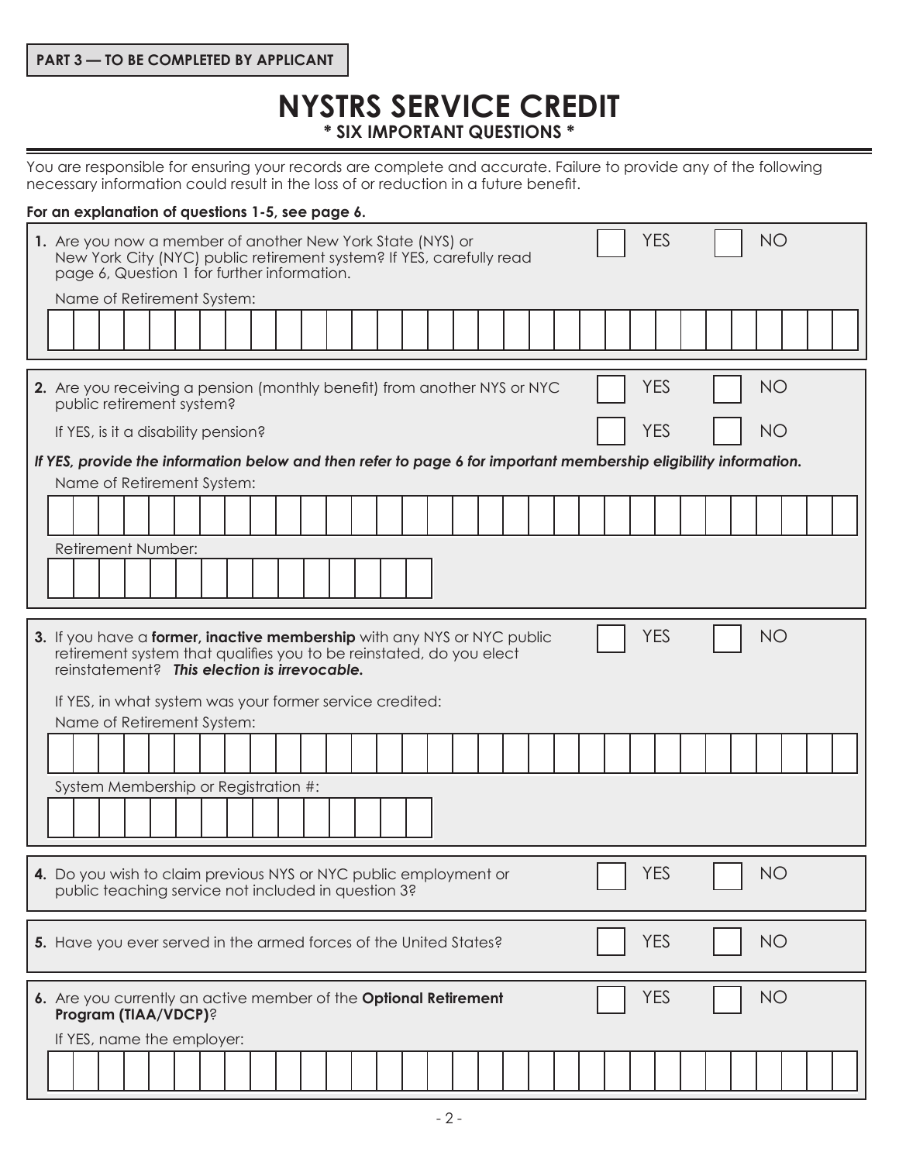## **PART 3 — TO BE COMPLETED BY APPLICANT**

# **NYSTRS SERVICE CREDIT \* SIX IMPORTANT QUESTIONS \***

You are responsible for ensuring your records are complete and accurate. Failure to provide any of the following necessary information could result in the loss of or reduction in a future benefit.

#### **For an explanation of questions 1-5, see page 6.**

| 1. Are you now a member of another New York State (NYS) or<br>New York City (NYC) public retirement system? If YES, carefully read<br>page 6, Question 1 for further information.<br>Name of Retirement System:                                                                          | <b>YES</b><br><b>NO</b> |
|------------------------------------------------------------------------------------------------------------------------------------------------------------------------------------------------------------------------------------------------------------------------------------------|-------------------------|
|                                                                                                                                                                                                                                                                                          |                         |
| 2. Are you receiving a pension (monthly benefit) from another NYS or NYC<br>public retirement system?                                                                                                                                                                                    | <b>YES</b><br><b>NO</b> |
| If YES, is it a disability pension?<br>If YES, provide the information below and then refer to page 6 for important membership eligibility information.<br>Name of Retirement System:                                                                                                    | <b>YES</b><br><b>NO</b> |
| Retirement Number:                                                                                                                                                                                                                                                                       |                         |
| 3. If you have a former, inactive membership with any NYS or NYC public<br>retirement system that qualifies you to be reinstated, do you elect<br>reinstatement? This election is irrevocable.<br>If YES, in what system was your former service credited:<br>Name of Retirement System: | <b>YES</b><br><b>NO</b> |
| System Membership or Registration #:                                                                                                                                                                                                                                                     |                         |
| 4. Do you wish to claim previous NYS or NYC public employment or<br>public teaching service not included in question 3?                                                                                                                                                                  | <b>YES</b><br>NO        |
| 5. Have you ever served in the armed forces of the United States?                                                                                                                                                                                                                        | <b>YES</b><br><b>NO</b> |
| 6. Are you currently an active member of the Optional Retirement<br>Program (TIAA/VDCP)?<br>If YES, name the employer:                                                                                                                                                                   | <b>NO</b><br><b>YES</b> |
|                                                                                                                                                                                                                                                                                          |                         |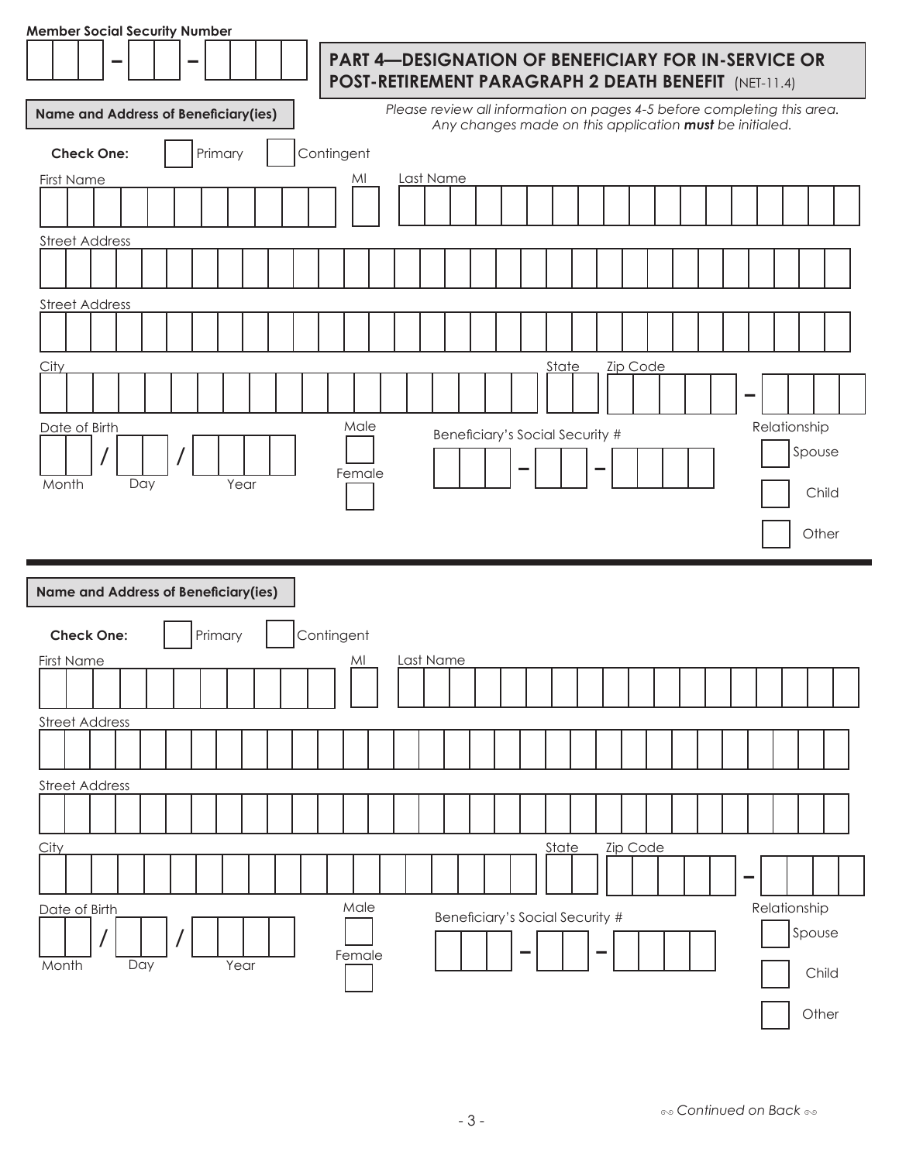| <b>Member Social Security Number</b> |                                             |            |                                                                                                                                    |  |  |  |  |  |  |  |  |
|--------------------------------------|---------------------------------------------|------------|------------------------------------------------------------------------------------------------------------------------------------|--|--|--|--|--|--|--|--|
|                                      |                                             |            | <b>PART 4—DESIGNATION OF BENEFICIARY FOR IN-SERVICE OR</b><br>POST-RETIREMENT PARAGRAPH 2 DEATH BENEFIT (NET-11.4)                 |  |  |  |  |  |  |  |  |
|                                      | <b>Name and Address of Beneficiary(ies)</b> |            | Please review all information on pages 4-5 before completing this area.<br>Any changes made on this application must be initialed. |  |  |  |  |  |  |  |  |
| <b>Check One:</b>                    | Primary                                     | Contingent |                                                                                                                                    |  |  |  |  |  |  |  |  |
| <b>First Name</b>                    |                                             | MI         | Last Name                                                                                                                          |  |  |  |  |  |  |  |  |
|                                      |                                             |            |                                                                                                                                    |  |  |  |  |  |  |  |  |
| <b>Street Address</b>                |                                             |            |                                                                                                                                    |  |  |  |  |  |  |  |  |
|                                      |                                             |            |                                                                                                                                    |  |  |  |  |  |  |  |  |
| <b>Street Address</b>                |                                             |            |                                                                                                                                    |  |  |  |  |  |  |  |  |
|                                      |                                             |            |                                                                                                                                    |  |  |  |  |  |  |  |  |
| City                                 |                                             |            | <b>Zip Code</b><br>State                                                                                                           |  |  |  |  |  |  |  |  |
|                                      |                                             |            |                                                                                                                                    |  |  |  |  |  |  |  |  |
| Date of Birth                        |                                             | Male       | Relationship<br>Beneficiary's Social Security #                                                                                    |  |  |  |  |  |  |  |  |
|                                      |                                             |            | Spouse                                                                                                                             |  |  |  |  |  |  |  |  |
| Day<br>Month                         | Year                                        | Female     | Child                                                                                                                              |  |  |  |  |  |  |  |  |
|                                      |                                             |            |                                                                                                                                    |  |  |  |  |  |  |  |  |
|                                      |                                             |            | Other                                                                                                                              |  |  |  |  |  |  |  |  |
|                                      | <b>Name and Address of Beneficiary(ies)</b> |            |                                                                                                                                    |  |  |  |  |  |  |  |  |
| <b>Check One:</b>                    | Primary                                     | Contingent |                                                                                                                                    |  |  |  |  |  |  |  |  |
| <b>First Name</b>                    |                                             | MI         | Last Name                                                                                                                          |  |  |  |  |  |  |  |  |
|                                      |                                             |            |                                                                                                                                    |  |  |  |  |  |  |  |  |
| <b>Street Address</b>                |                                             |            |                                                                                                                                    |  |  |  |  |  |  |  |  |
|                                      |                                             |            |                                                                                                                                    |  |  |  |  |  |  |  |  |
| <b>Street Address</b>                |                                             |            |                                                                                                                                    |  |  |  |  |  |  |  |  |
|                                      |                                             |            |                                                                                                                                    |  |  |  |  |  |  |  |  |
| City                                 |                                             |            | State<br>Zip Code<br>-                                                                                                             |  |  |  |  |  |  |  |  |
| Date of Birth                        |                                             | Male       | Relationship<br>Beneficiary's Social Security #                                                                                    |  |  |  |  |  |  |  |  |
|                                      |                                             | Female     | Spouse                                                                                                                             |  |  |  |  |  |  |  |  |
| Month<br>Day                         | Year                                        |            | Child                                                                                                                              |  |  |  |  |  |  |  |  |
|                                      |                                             |            | Other                                                                                                                              |  |  |  |  |  |  |  |  |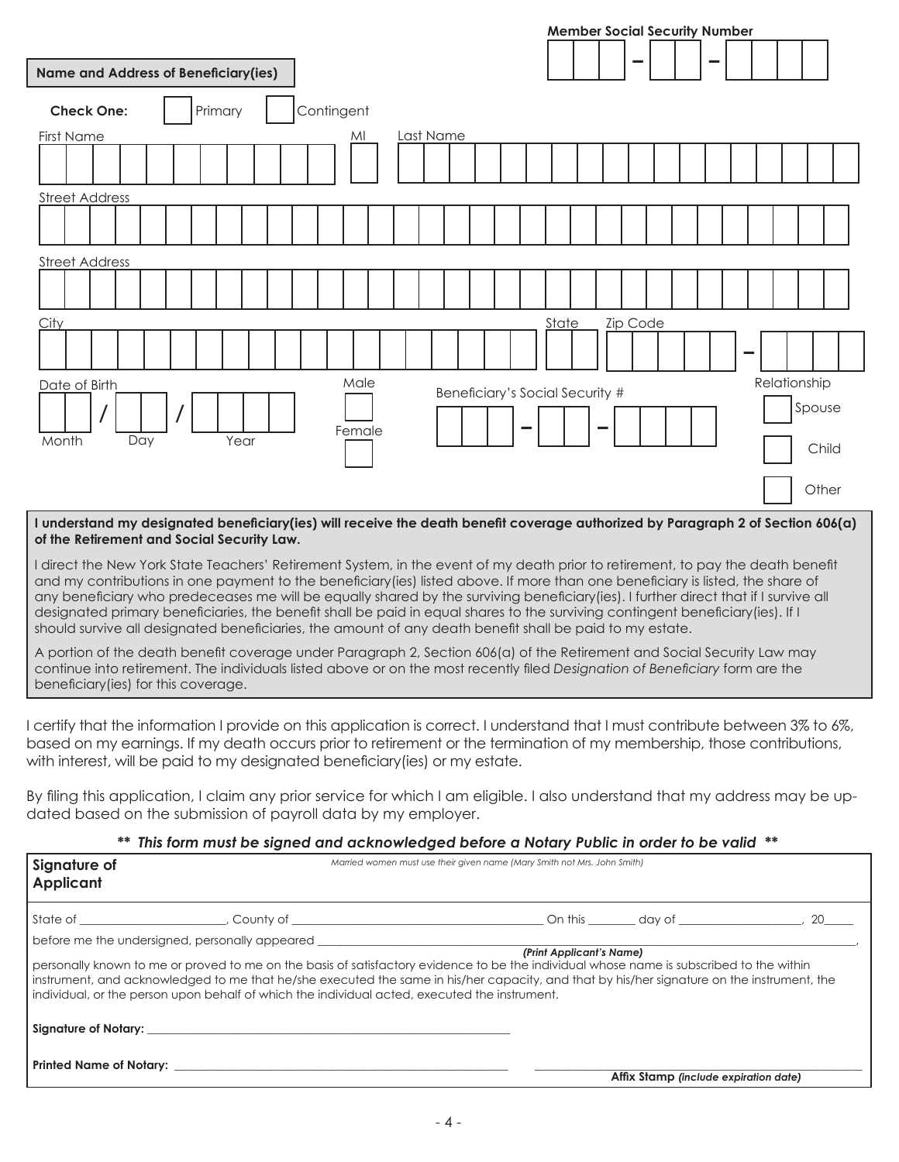|                                             |         |                |           |                                 |       | <b>Member Social Security Number</b> |  |                        |       |
|---------------------------------------------|---------|----------------|-----------|---------------------------------|-------|--------------------------------------|--|------------------------|-------|
| <b>Name and Address of Beneficiary(ies)</b> |         |                |           |                                 |       |                                      |  |                        |       |
| <b>Check One:</b>                           | Primary | Contingent     |           |                                 |       |                                      |  |                        |       |
| First Name                                  |         | MI             | Last Name |                                 |       |                                      |  |                        |       |
|                                             |         |                |           |                                 |       |                                      |  |                        |       |
| <b>Street Address</b>                       |         |                |           |                                 |       |                                      |  |                        |       |
|                                             |         |                |           |                                 |       |                                      |  |                        |       |
| <b>Street Address</b>                       |         |                |           |                                 |       |                                      |  |                        |       |
|                                             |         |                |           |                                 |       |                                      |  |                        |       |
| <b>City</b>                                 |         |                |           |                                 | State | <b>Zip Code</b>                      |  |                        |       |
|                                             |         |                |           |                                 |       |                                      |  |                        |       |
| Date of Birth                               |         | Male<br>Female |           | Beneficiary's Social Security # |       |                                      |  | Relationship<br>Spouse |       |
| Month<br>Day                                | Year    |                |           |                                 |       |                                      |  |                        | Child |
|                                             |         |                |           |                                 |       |                                      |  |                        | Other |

#### **I understand my designated beneficiary(ies) will receive the death benefit coverage authorized by Paragraph 2 of Section 606(a) of the Retirement and Social Security Law.**

I direct the New York State Teachers' Retirement System, in the event of my death prior to retirement, to pay the death benefit and my contributions in one payment to the beneficiary(ies) listed above. If more than one beneficiary is listed, the share of any beneficiary who predeceases me will be equally shared by the surviving beneficiary(ies). I further direct that if I survive all designated primary beneficiaries, the benefit shall be paid in equal shares to the surviving contingent beneficiary(ies). If I should survive all designated beneficiaries, the amount of any death benefit shall be paid to my estate.

A portion of the death benefit coverage under Paragraph 2, Section 606(a) of the Retirement and Social Security Law may continue into retirement. The individuals listed above or on the most recently filed *Designation of Beneficiary* form are the beneficiary(ies) for this coverage.

I certify that the information I provide on this application is correct. I understand that I must contribute between 3% to 6%, based on my earnings. If my death occurs prior to retirement or the termination of my membership, those contributions, with interest, will be paid to my designated beneficiary(ies) or my estate.

By filing this application, I claim any prior service for which I am eligible. I also understand that my address may be updated based on the submission of payroll data by my employer.

#### *\*\* This form must be signed and acknowledged before a Notary Public in order to be valid \*\**

| Signature of<br><b>Applicant</b>                                                                                                                                                                                                                                                                                                                                                                                                              | Married women must use their given name (Mary Smith not Mrs. John Smith) |                          |                                       |  |
|-----------------------------------------------------------------------------------------------------------------------------------------------------------------------------------------------------------------------------------------------------------------------------------------------------------------------------------------------------------------------------------------------------------------------------------------------|--------------------------------------------------------------------------|--------------------------|---------------------------------------|--|
|                                                                                                                                                                                                                                                                                                                                                                                                                                               |                                                                          |                          |                                       |  |
| before me the undersigned, personally appeared<br>personally known to me or proved to me on the basis of satisfactory evidence to be the individual whose name is subscribed to the within<br>I instrument, and acknowledged to me that he/she executed the same in his/her capacity, and that by his/her signature on the instrument, the<br>I individual, or the person upon behalf of which the individual acted, executed the instrument. |                                                                          | (Print Applicant's Name) |                                       |  |
|                                                                                                                                                                                                                                                                                                                                                                                                                                               |                                                                          |                          |                                       |  |
| Printed Name of Notary: Name of Solid Printed Name of Notary:                                                                                                                                                                                                                                                                                                                                                                                 |                                                                          |                          | Affix Stamp (include expiration date) |  |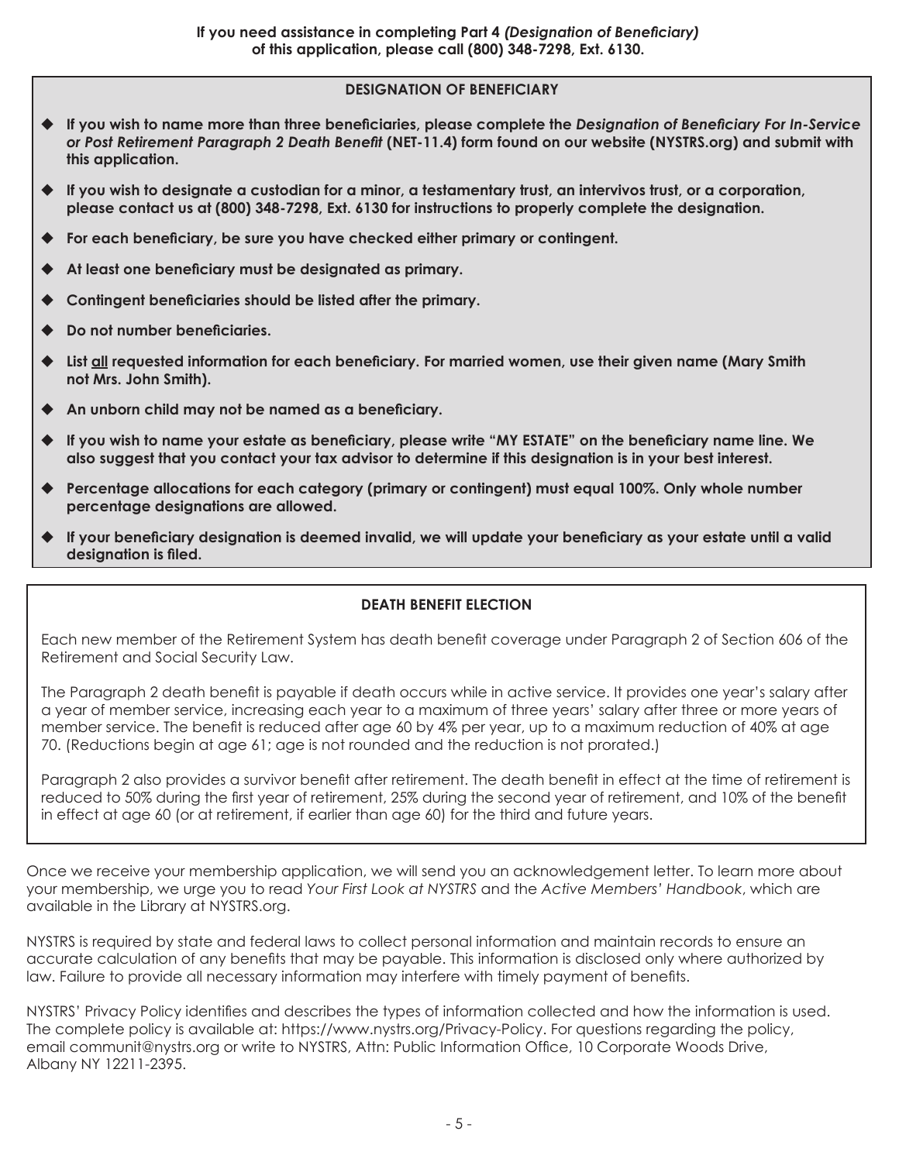# **DESIGNATION OF BENEFICIARY**

- **If you wish to name more than three beneficiaries, please complete the** *Designation of Beneficiary For In-Service or Post Retirement Paragraph 2 Death Benefit* **(NET-11.4) form found on our website (NYSTRS.org) and submit with this application.**
- **If you wish to designate a custodian for a minor, a testamentary trust, an intervivos trust, or a corporation, please contact us at (800) 348-7298, Ext. 6130 for instructions to properly complete the designation.**
- **For each beneficiary, be sure you have checked either primary or contingent.**
- **At least one beneficiary must be designated as primary.**
- **Contingent beneficiaries should be listed after the primary.**
- **Do not number beneficiaries.**
- **List all requested information for each beneficiary. For married women, use their given name (Mary Smith not Mrs. John Smith).**
- **An unborn child may not be named as a beneficiary.**
- **If you wish to name your estate as beneficiary, please write "MY ESTATE" on the beneficiary name line. We also suggest that you contact your tax advisor to determine if this designation is in your best interest.**
- **Percentage allocations for each category (primary or contingent) must equal 100%. Only whole number percentage designations are allowed.**
- **If your beneficiary designation is deemed invalid, we will update your beneficiary as your estate until a valid designation is filed.**

# **DEATH BENEFIT ELECTION**

Each new member of the Retirement System has death benefit coverage under Paragraph 2 of Section 606 of the Retirement and Social Security Law.

The Paragraph 2 death benefit is payable if death occurs while in active service. It provides one year's salary after a year of member service, increasing each year to a maximum of three years' salary after three or more years of member service. The benefit is reduced after age 60 by 4% per year, up to a maximum reduction of 40% at age 70. (Reductions begin at age 61; age is not rounded and the reduction is not prorated.)

Paragraph 2 also provides a survivor benefit after retirement. The death benefit in effect at the time of retirement is reduced to 50% during the first year of retirement, 25% during the second year of retirement, and 10% of the benefit in effect at age 60 (or at retirement, if earlier than age 60) for the third and future years.

Once we receive your membership application, we will send you an acknowledgement letter. To learn more about your membership, we urge you to read *Your First Look at NYSTRS* and the *Active Members' Handbook*, which are available in the Library at NYSTRS.org.

NYSTRS is required by state and federal laws to collect personal information and maintain records to ensure an accurate calculation of any benefits that may be payable. This information is disclosed only where authorized by law. Failure to provide all necessary information may interfere with timely payment of benefits.

NYSTRS' Privacy Policy identifies and describes the types of information collected and how the information is used. The complete policy is available at: https://www.nystrs.org/Privacy-Policy. For questions regarding the policy, email communit@nystrs.org or write to NYSTRS, Attn: Public Information Office, 10 Corporate Woods Drive, Albany NY 12211-2395.